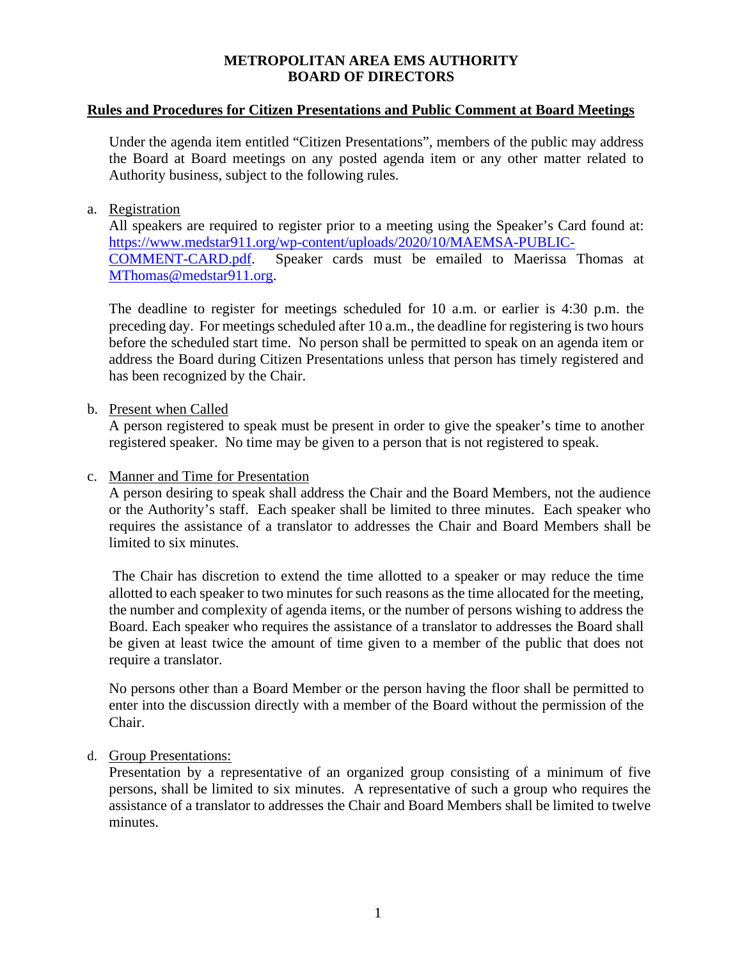### **METROPOLITAN AREA EMS AUTHORITY BOARD OF DIRECTORS**

# **Rules and Procedures for Citizen Presentations and Public Comment at Board Meetings**

Under the agenda item entitled "Citizen Presentations", members of the public may address the Board at Board meetings on any posted agenda item or any other matter related to Authority business, subject to the following rules.

# a. Registration

All speakers are required to register prior to a meeting using the Speaker's Card found at: [https://www.medstar911.org/wp-content/uploads/2020/10/MAEMSA-PUBLIC-](https://www.medstar911.org/wp-content/uploads/2020/10/MAEMSA-PUBLIC-COMMENT-CARD.pdf)[COMMENT-CARD.pdf.](https://www.medstar911.org/wp-content/uploads/2020/10/MAEMSA-PUBLIC-COMMENT-CARD.pdf) Speaker cards must be emailed to Maerissa Thomas at [MThomas@medstar911.org.](mailto:MThomas@medstar911.org)

The deadline to register for meetings scheduled for 10 a.m. or earlier is 4:30 p.m. the preceding day. For meetings scheduled after 10 a.m., the deadline for registering is two hours before the scheduled start time. No person shall be permitted to speak on an agenda item or address the Board during Citizen Presentations unless that person has timely registered and has been recognized by the Chair.

b. Present when Called

A person registered to speak must be present in order to give the speaker's time to another registered speaker. No time may be given to a person that is not registered to speak.

c. Manner and Time for Presentation

A person desiring to speak shall address the Chair and the Board Members, not the audience or the Authority's staff. Each speaker shall be limited to three minutes. Each speaker who requires the assistance of a translator to addresses the Chair and Board Members shall be limited to six minutes.

The Chair has discretion to extend the time allotted to a speaker or may reduce the time allotted to each speaker to two minutes for such reasons as the time allocated for the meeting, the number and complexity of agenda items, or the number of persons wishing to address the Board. Each speaker who requires the assistance of a translator to addresses the Board shall be given at least twice the amount of time given to a member of the public that does not require a translator.

No persons other than a Board Member or the person having the floor shall be permitted to enter into the discussion directly with a member of the Board without the permission of the Chair.

d. Group Presentations:

Presentation by a representative of an organized group consisting of a minimum of five persons, shall be limited to six minutes. A representative of such a group who requires the assistance of a translator to addresses the Chair and Board Members shall be limited to twelve minutes.